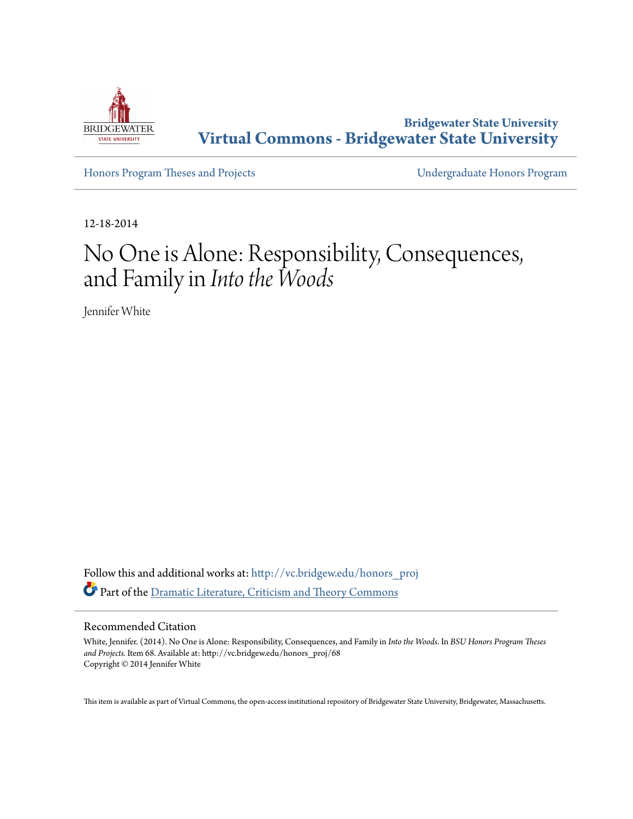

**Bridgewater State University [Virtual Commons - Bridgewater State University](http://vc.bridgew.edu?utm_source=vc.bridgew.edu%2Fhonors_proj%2F68&utm_medium=PDF&utm_campaign=PDFCoverPages)**

[Honors Program Theses and Projects](http://vc.bridgew.edu/honors_proj?utm_source=vc.bridgew.edu%2Fhonors_proj%2F68&utm_medium=PDF&utm_campaign=PDFCoverPages) [Undergraduate Honors Program](http://vc.bridgew.edu/honors?utm_source=vc.bridgew.edu%2Fhonors_proj%2F68&utm_medium=PDF&utm_campaign=PDFCoverPages)

12-18-2014

## No One is Alone: Responsibility, Consequences, and Family in *Into the Woods*

Jennifer White

Follow this and additional works at: [http://vc.bridgew.edu/honors\\_proj](http://vc.bridgew.edu/honors_proj?utm_source=vc.bridgew.edu%2Fhonors_proj%2F68&utm_medium=PDF&utm_campaign=PDFCoverPages) Part of the [Dramatic Literature, Criticism and Theory Commons](http://network.bepress.com/hgg/discipline/555?utm_source=vc.bridgew.edu%2Fhonors_proj%2F68&utm_medium=PDF&utm_campaign=PDFCoverPages)

## Recommended Citation

White, Jennifer. (2014). No One is Alone: Responsibility, Consequences, and Family in *Into the Woods*. In *BSU Honors Program Theses and Projects.* Item 68. Available at: http://vc.bridgew.edu/honors\_proj/68 Copyright © 2014 Jennifer White

This item is available as part of Virtual Commons, the open-access institutional repository of Bridgewater State University, Bridgewater, Massachusetts.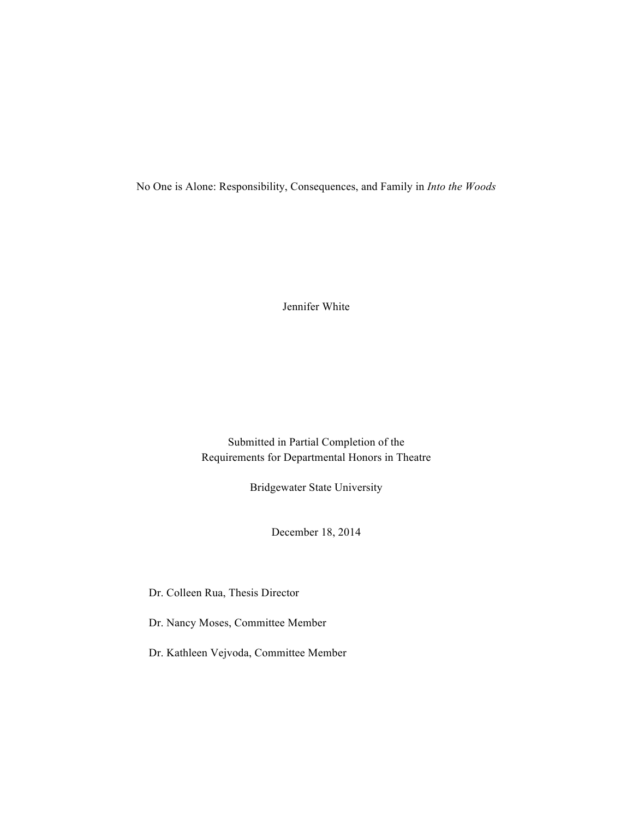No One is Alone: Responsibility, Consequences, and Family in *Into the Woods*

Jennifer White

Submitted in Partial Completion of the Requirements for Departmental Honors in Theatre

Bridgewater State University

December 18, 2014

Dr. Colleen Rua, Thesis Director

Dr. Nancy Moses, Committee Member

Dr. Kathleen Vejvoda, Committee Member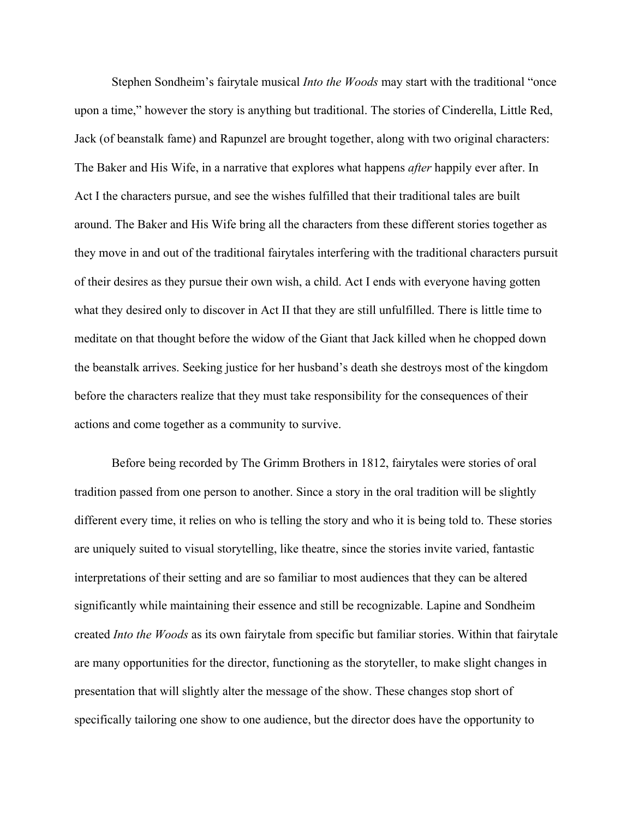Stephen Sondheim's fairytale musical *Into the Woods* may start with the traditional "once upon a time," however the story is anything but traditional. The stories of Cinderella, Little Red, Jack (of beanstalk fame) and Rapunzel are brought together, along with two original characters: The Baker and His Wife, in a narrative that explores what happens *after* happily ever after. In Act I the characters pursue, and see the wishes fulfilled that their traditional tales are built around. The Baker and His Wife bring all the characters from these different stories together as they move in and out of the traditional fairytales interfering with the traditional characters pursuit of their desires as they pursue their own wish, a child. Act I ends with everyone having gotten what they desired only to discover in Act II that they are still unfulfilled. There is little time to meditate on that thought before the widow of the Giant that Jack killed when he chopped down the beanstalk arrives. Seeking justice for her husband's death she destroys most of the kingdom before the characters realize that they must take responsibility for the consequences of their actions and come together as a community to survive.

Before being recorded by The Grimm Brothers in 1812, fairytales were stories of oral tradition passed from one person to another. Since a story in the oral tradition will be slightly different every time, it relies on who is telling the story and who it is being told to. These stories are uniquely suited to visual storytelling, like theatre, since the stories invite varied, fantastic interpretations of their setting and are so familiar to most audiences that they can be altered significantly while maintaining their essence and still be recognizable. Lapine and Sondheim created *Into the Woods* as its own fairytale from specific but familiar stories. Within that fairytale are many opportunities for the director, functioning as the storyteller, to make slight changes in presentation that will slightly alter the message of the show. These changes stop short of specifically tailoring one show to one audience, but the director does have the opportunity to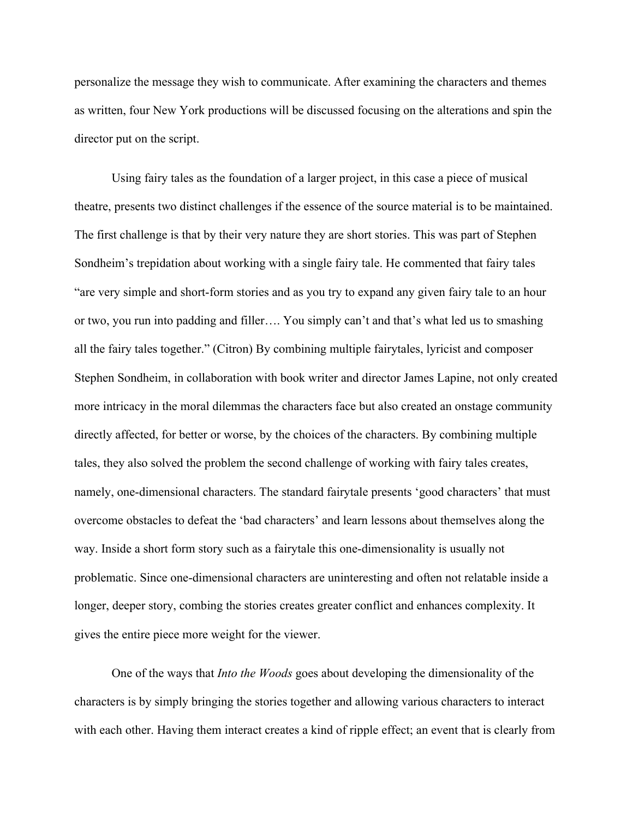personalize the message they wish to communicate. After examining the characters and themes as written, four New York productions will be discussed focusing on the alterations and spin the director put on the script.

Using fairy tales as the foundation of a larger project, in this case a piece of musical theatre, presents two distinct challenges if the essence of the source material is to be maintained. The first challenge is that by their very nature they are short stories. This was part of Stephen Sondheim's trepidation about working with a single fairy tale. He commented that fairy tales "are very simple and short-form stories and as you try to expand any given fairy tale to an hour or two, you run into padding and filler…. You simply can't and that's what led us to smashing all the fairy tales together." (Citron) By combining multiple fairytales, lyricist and composer Stephen Sondheim, in collaboration with book writer and director James Lapine, not only created more intricacy in the moral dilemmas the characters face but also created an onstage community directly affected, for better or worse, by the choices of the characters. By combining multiple tales, they also solved the problem the second challenge of working with fairy tales creates, namely, one-dimensional characters. The standard fairytale presents 'good characters' that must overcome obstacles to defeat the 'bad characters' and learn lessons about themselves along the way. Inside a short form story such as a fairytale this one-dimensionality is usually not problematic. Since one-dimensional characters are uninteresting and often not relatable inside a longer, deeper story, combing the stories creates greater conflict and enhances complexity. It gives the entire piece more weight for the viewer.

One of the ways that *Into the Woods* goes about developing the dimensionality of the characters is by simply bringing the stories together and allowing various characters to interact with each other. Having them interact creates a kind of ripple effect; an event that is clearly from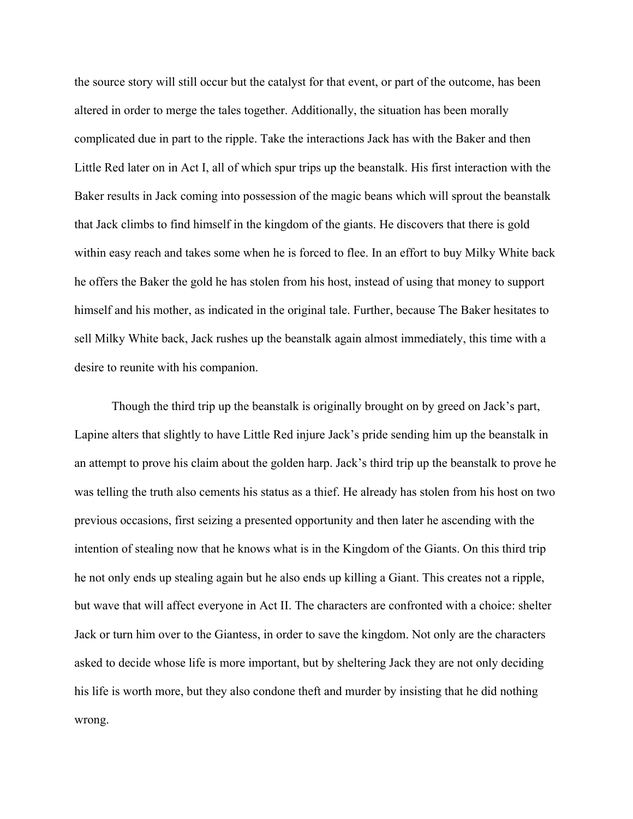the source story will still occur but the catalyst for that event, or part of the outcome, has been altered in order to merge the tales together. Additionally, the situation has been morally complicated due in part to the ripple. Take the interactions Jack has with the Baker and then Little Red later on in Act I, all of which spur trips up the beanstalk. His first interaction with the Baker results in Jack coming into possession of the magic beans which will sprout the beanstalk that Jack climbs to find himself in the kingdom of the giants. He discovers that there is gold within easy reach and takes some when he is forced to flee. In an effort to buy Milky White back he offers the Baker the gold he has stolen from his host, instead of using that money to support himself and his mother, as indicated in the original tale. Further, because The Baker hesitates to sell Milky White back, Jack rushes up the beanstalk again almost immediately, this time with a desire to reunite with his companion.

Though the third trip up the beanstalk is originally brought on by greed on Jack's part, Lapine alters that slightly to have Little Red injure Jack's pride sending him up the beanstalk in an attempt to prove his claim about the golden harp. Jack's third trip up the beanstalk to prove he was telling the truth also cements his status as a thief. He already has stolen from his host on two previous occasions, first seizing a presented opportunity and then later he ascending with the intention of stealing now that he knows what is in the Kingdom of the Giants. On this third trip he not only ends up stealing again but he also ends up killing a Giant. This creates not a ripple, but wave that will affect everyone in Act II. The characters are confronted with a choice: shelter Jack or turn him over to the Giantess, in order to save the kingdom. Not only are the characters asked to decide whose life is more important, but by sheltering Jack they are not only deciding his life is worth more, but they also condone theft and murder by insisting that he did nothing wrong.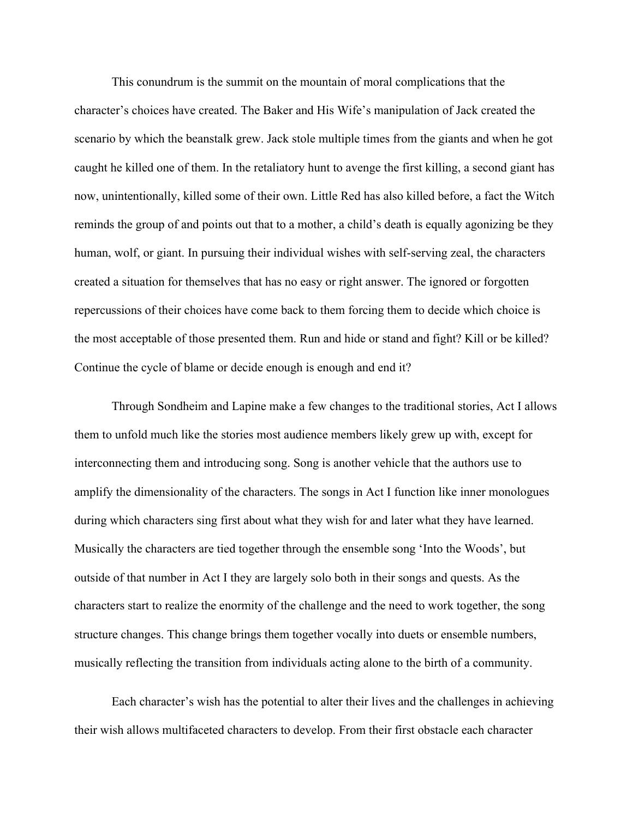This conundrum is the summit on the mountain of moral complications that the character's choices have created. The Baker and His Wife's manipulation of Jack created the scenario by which the beanstalk grew. Jack stole multiple times from the giants and when he got caught he killed one of them. In the retaliatory hunt to avenge the first killing, a second giant has now, unintentionally, killed some of their own. Little Red has also killed before, a fact the Witch reminds the group of and points out that to a mother, a child's death is equally agonizing be they human, wolf, or giant. In pursuing their individual wishes with self-serving zeal, the characters created a situation for themselves that has no easy or right answer. The ignored or forgotten repercussions of their choices have come back to them forcing them to decide which choice is the most acceptable of those presented them. Run and hide or stand and fight? Kill or be killed? Continue the cycle of blame or decide enough is enough and end it?

Through Sondheim and Lapine make a few changes to the traditional stories, Act I allows them to unfold much like the stories most audience members likely grew up with, except for interconnecting them and introducing song. Song is another vehicle that the authors use to amplify the dimensionality of the characters. The songs in Act I function like inner monologues during which characters sing first about what they wish for and later what they have learned. Musically the characters are tied together through the ensemble song 'Into the Woods', but outside of that number in Act I they are largely solo both in their songs and quests. As the characters start to realize the enormity of the challenge and the need to work together, the song structure changes. This change brings them together vocally into duets or ensemble numbers, musically reflecting the transition from individuals acting alone to the birth of a community.

Each character's wish has the potential to alter their lives and the challenges in achieving their wish allows multifaceted characters to develop. From their first obstacle each character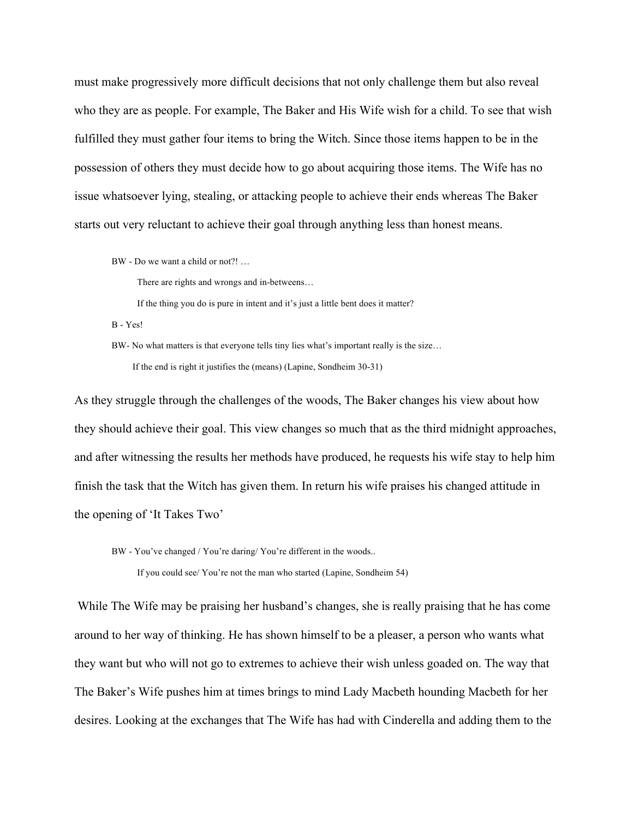must make progressively more difficult decisions that not only challenge them but also reveal who they are as people. For example, The Baker and His Wife wish for a child. To see that wish fulfilled they must gather four items to bring the Witch. Since those items happen to be in the possession of others they must decide how to go about acquiring those items. The Wife has no issue whatsoever lying, stealing, or attacking people to achieve their ends whereas The Baker starts out very reluctant to achieve their goal through anything less than honest means.

BW - Do we want a child or not?! …

There are rights and wrongs and in-betweens…

If the thing you do is pure in intent and it's just a little bent does it matter?

B - Yes!

BW- No what matters is that everyone tells tiny lies what's important really is the size… If the end is right it justifies the (means) (Lapine, Sondheim 30-31)

As they struggle through the challenges of the woods, The Baker changes his view about how they should achieve their goal. This view changes so much that as the third midnight approaches, and after witnessing the results her methods have produced, he requests his wife stay to help him finish the task that the Witch has given them. In return his wife praises his changed attitude in the opening of 'It Takes Two'

BW - You've changed / You're daring/ You're different in the woods.. If you could see/ You're not the man who started (Lapine, Sondheim 54)

While The Wife may be praising her husband's changes, she is really praising that he has come around to her way of thinking. He has shown himself to be a pleaser, a person who wants what they want but who will not go to extremes to achieve their wish unless goaded on. The way that The Baker's Wife pushes him at times brings to mind Lady Macbeth hounding Macbeth for her desires. Looking at the exchanges that The Wife has had with Cinderella and adding them to the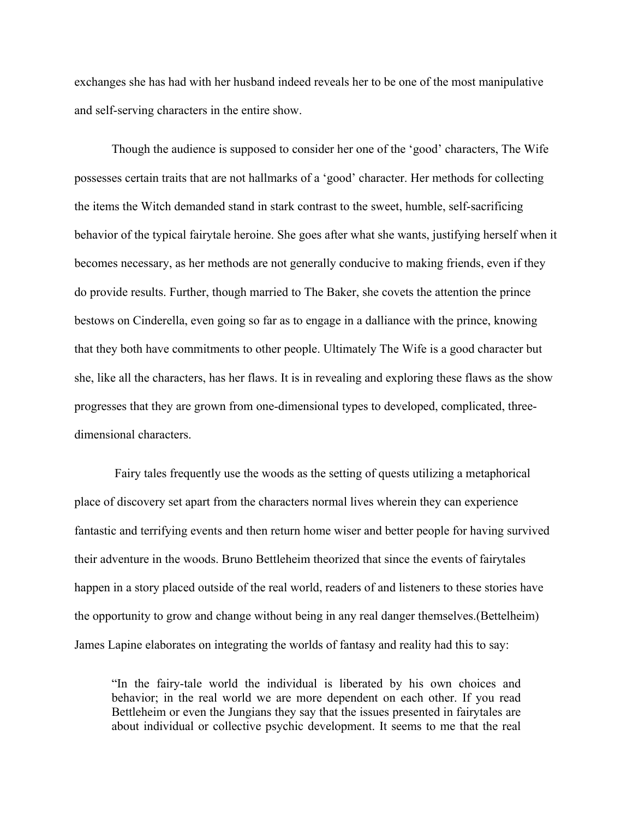exchanges she has had with her husband indeed reveals her to be one of the most manipulative and self-serving characters in the entire show.

Though the audience is supposed to consider her one of the 'good' characters, The Wife possesses certain traits that are not hallmarks of a 'good' character. Her methods for collecting the items the Witch demanded stand in stark contrast to the sweet, humble, self-sacrificing behavior of the typical fairytale heroine. She goes after what she wants, justifying herself when it becomes necessary, as her methods are not generally conducive to making friends, even if they do provide results. Further, though married to The Baker, she covets the attention the prince bestows on Cinderella, even going so far as to engage in a dalliance with the prince, knowing that they both have commitments to other people. Ultimately The Wife is a good character but she, like all the characters, has her flaws. It is in revealing and exploring these flaws as the show progresses that they are grown from one-dimensional types to developed, complicated, threedimensional characters.

Fairy tales frequently use the woods as the setting of quests utilizing a metaphorical place of discovery set apart from the characters normal lives wherein they can experience fantastic and terrifying events and then return home wiser and better people for having survived their adventure in the woods. Bruno Bettleheim theorized that since the events of fairytales happen in a story placed outside of the real world, readers of and listeners to these stories have the opportunity to grow and change without being in any real danger themselves.(Bettelheim) James Lapine elaborates on integrating the worlds of fantasy and reality had this to say:

"In the fairy-tale world the individual is liberated by his own choices and behavior; in the real world we are more dependent on each other. If you read Bettleheim or even the Jungians they say that the issues presented in fairytales are about individual or collective psychic development. It seems to me that the real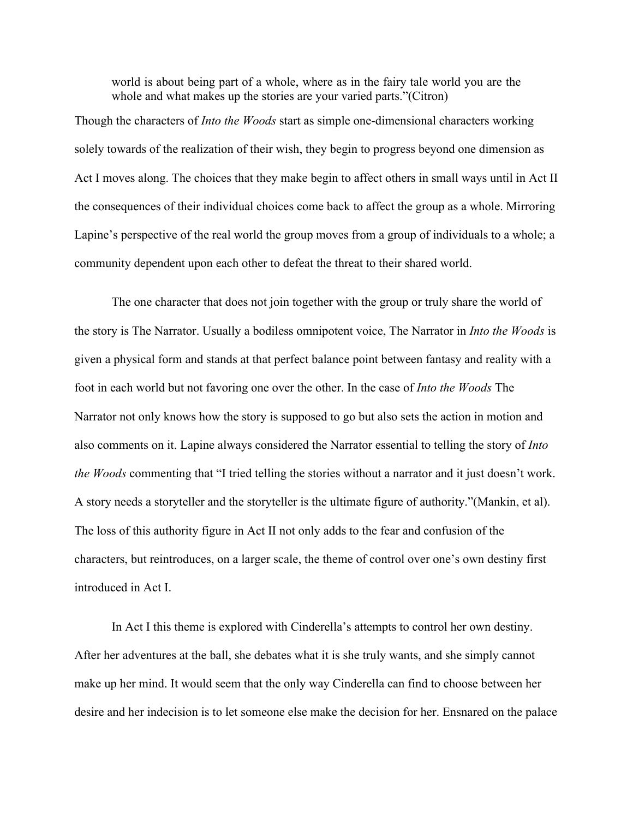world is about being part of a whole, where as in the fairy tale world you are the whole and what makes up the stories are your varied parts."(Citron)

Though the characters of *Into the Woods* start as simple one-dimensional characters working solely towards of the realization of their wish, they begin to progress beyond one dimension as Act I moves along. The choices that they make begin to affect others in small ways until in Act II the consequences of their individual choices come back to affect the group as a whole. Mirroring Lapine's perspective of the real world the group moves from a group of individuals to a whole; a community dependent upon each other to defeat the threat to their shared world.

The one character that does not join together with the group or truly share the world of the story is The Narrator. Usually a bodiless omnipotent voice, The Narrator in *Into the Woods* is given a physical form and stands at that perfect balance point between fantasy and reality with a foot in each world but not favoring one over the other. In the case of *Into the Woods* The Narrator not only knows how the story is supposed to go but also sets the action in motion and also comments on it. Lapine always considered the Narrator essential to telling the story of *Into the Woods* commenting that "I tried telling the stories without a narrator and it just doesn't work. A story needs a storyteller and the storyteller is the ultimate figure of authority."(Mankin, et al). The loss of this authority figure in Act II not only adds to the fear and confusion of the characters, but reintroduces, on a larger scale, the theme of control over one's own destiny first introduced in Act I.

In Act I this theme is explored with Cinderella's attempts to control her own destiny. After her adventures at the ball, she debates what it is she truly wants, and she simply cannot make up her mind. It would seem that the only way Cinderella can find to choose between her desire and her indecision is to let someone else make the decision for her. Ensnared on the palace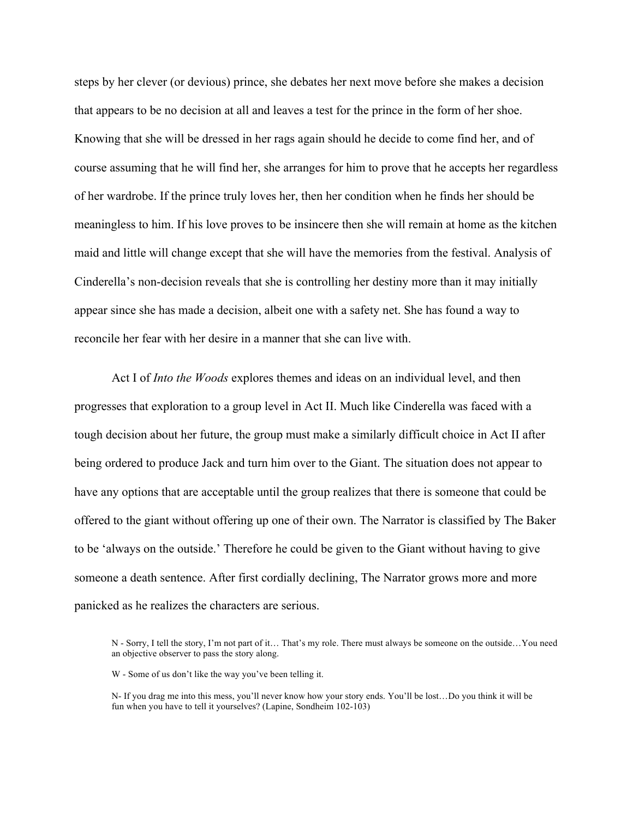steps by her clever (or devious) prince, she debates her next move before she makes a decision that appears to be no decision at all and leaves a test for the prince in the form of her shoe. Knowing that she will be dressed in her rags again should he decide to come find her, and of course assuming that he will find her, she arranges for him to prove that he accepts her regardless of her wardrobe. If the prince truly loves her, then her condition when he finds her should be meaningless to him. If his love proves to be insincere then she will remain at home as the kitchen maid and little will change except that she will have the memories from the festival. Analysis of Cinderella's non-decision reveals that she is controlling her destiny more than it may initially appear since she has made a decision, albeit one with a safety net. She has found a way to reconcile her fear with her desire in a manner that she can live with.

Act I of *Into the Woods* explores themes and ideas on an individual level, and then progresses that exploration to a group level in Act II. Much like Cinderella was faced with a tough decision about her future, the group must make a similarly difficult choice in Act II after being ordered to produce Jack and turn him over to the Giant. The situation does not appear to have any options that are acceptable until the group realizes that there is someone that could be offered to the giant without offering up one of their own. The Narrator is classified by The Baker to be 'always on the outside.' Therefore he could be given to the Giant without having to give someone a death sentence. After first cordially declining, The Narrator grows more and more panicked as he realizes the characters are serious.

N - Sorry, I tell the story, I'm not part of it… That's my role. There must always be someone on the outside…You need an objective observer to pass the story along.

W - Some of us don't like the way you've been telling it.

N- If you drag me into this mess, you'll never know how your story ends. You'll be lost…Do you think it will be fun when you have to tell it yourselves? (Lapine, Sondheim 102-103)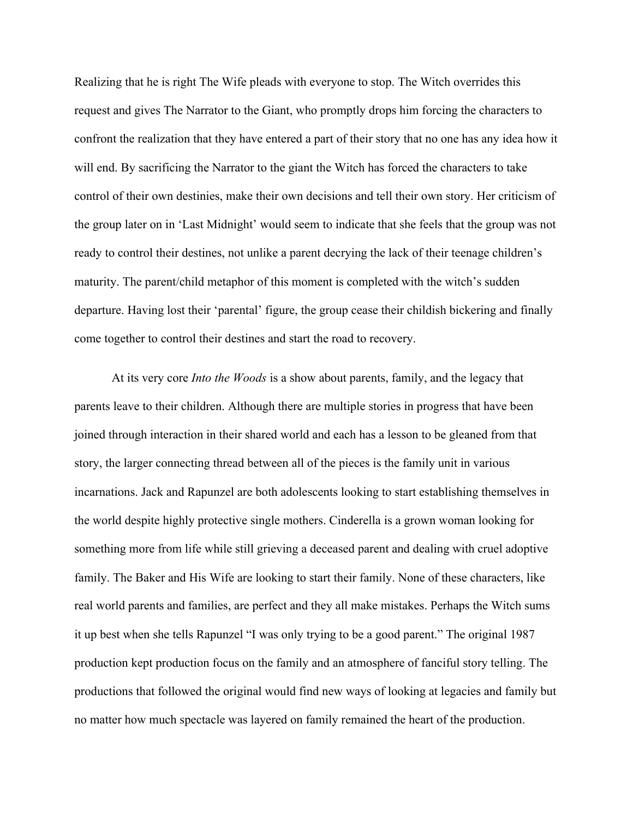Realizing that he is right The Wife pleads with everyone to stop. The Witch overrides this request and gives The Narrator to the Giant, who promptly drops him forcing the characters to confront the realization that they have entered a part of their story that no one has any idea how it will end. By sacrificing the Narrator to the giant the Witch has forced the characters to take control of their own destinies, make their own decisions and tell their own story. Her criticism of the group later on in 'Last Midnight' would seem to indicate that she feels that the group was not ready to control their destines, not unlike a parent decrying the lack of their teenage children's maturity. The parent/child metaphor of this moment is completed with the witch's sudden departure. Having lost their 'parental' figure, the group cease their childish bickering and finally come together to control their destines and start the road to recovery.

At its very core *Into the Woods* is a show about parents, family, and the legacy that parents leave to their children. Although there are multiple stories in progress that have been joined through interaction in their shared world and each has a lesson to be gleaned from that story, the larger connecting thread between all of the pieces is the family unit in various incarnations. Jack and Rapunzel are both adolescents looking to start establishing themselves in the world despite highly protective single mothers. Cinderella is a grown woman looking for something more from life while still grieving a deceased parent and dealing with cruel adoptive family. The Baker and His Wife are looking to start their family. None of these characters, like real world parents and families, are perfect and they all make mistakes. Perhaps the Witch sums it up best when she tells Rapunzel "I was only trying to be a good parent." The original 1987 production kept production focus on the family and an atmosphere of fanciful story telling. The productions that followed the original would find new ways of looking at legacies and family but no matter how much spectacle was layered on family remained the heart of the production.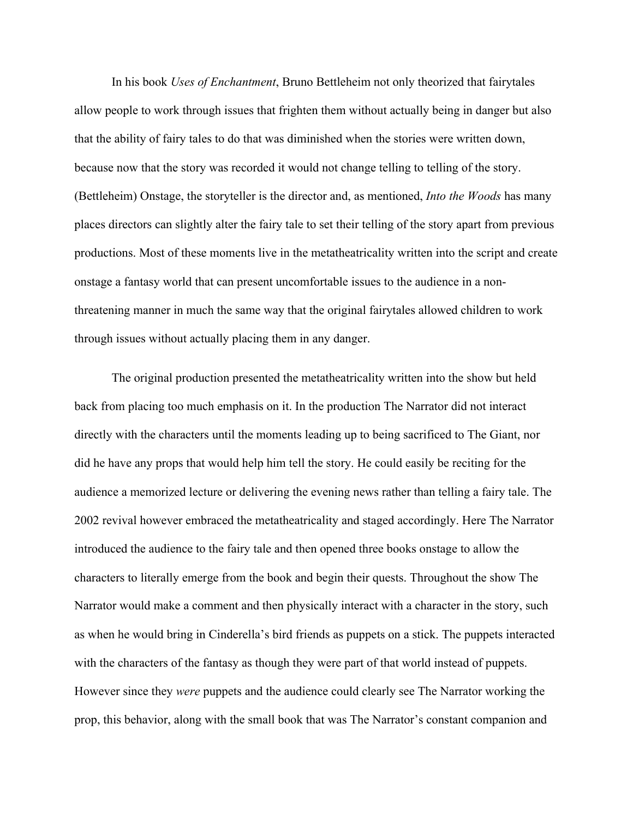In his book *Uses of Enchantment*, Bruno Bettleheim not only theorized that fairytales allow people to work through issues that frighten them without actually being in danger but also that the ability of fairy tales to do that was diminished when the stories were written down, because now that the story was recorded it would not change telling to telling of the story. (Bettleheim) Onstage, the storyteller is the director and, as mentioned, *Into the Woods* has many places directors can slightly alter the fairy tale to set their telling of the story apart from previous productions. Most of these moments live in the metatheatricality written into the script and create onstage a fantasy world that can present uncomfortable issues to the audience in a nonthreatening manner in much the same way that the original fairytales allowed children to work through issues without actually placing them in any danger.

The original production presented the metatheatricality written into the show but held back from placing too much emphasis on it. In the production The Narrator did not interact directly with the characters until the moments leading up to being sacrificed to The Giant, nor did he have any props that would help him tell the story. He could easily be reciting for the audience a memorized lecture or delivering the evening news rather than telling a fairy tale. The 2002 revival however embraced the metatheatricality and staged accordingly. Here The Narrator introduced the audience to the fairy tale and then opened three books onstage to allow the characters to literally emerge from the book and begin their quests. Throughout the show The Narrator would make a comment and then physically interact with a character in the story, such as when he would bring in Cinderella's bird friends as puppets on a stick. The puppets interacted with the characters of the fantasy as though they were part of that world instead of puppets. However since they *were* puppets and the audience could clearly see The Narrator working the prop, this behavior, along with the small book that was The Narrator's constant companion and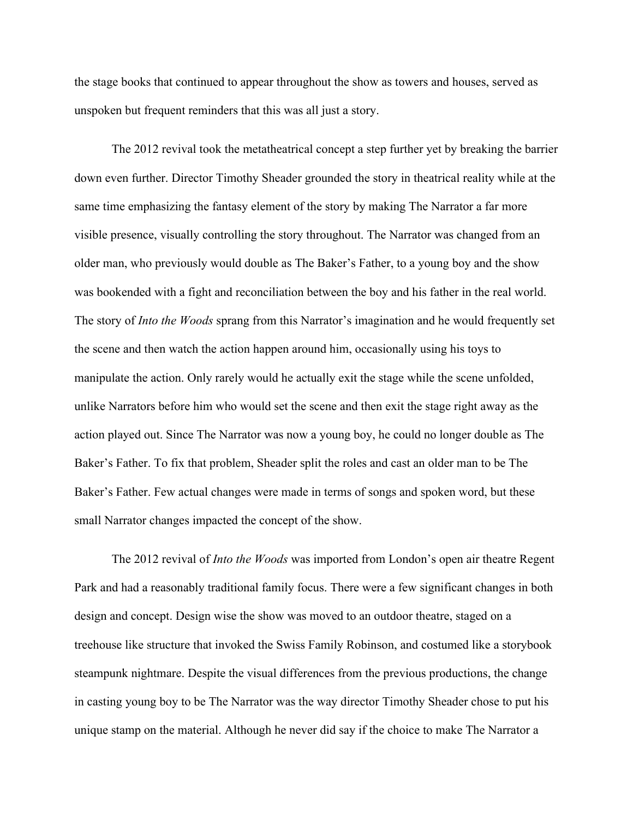the stage books that continued to appear throughout the show as towers and houses, served as unspoken but frequent reminders that this was all just a story.

The 2012 revival took the metatheatrical concept a step further yet by breaking the barrier down even further. Director Timothy Sheader grounded the story in theatrical reality while at the same time emphasizing the fantasy element of the story by making The Narrator a far more visible presence, visually controlling the story throughout. The Narrator was changed from an older man, who previously would double as The Baker's Father, to a young boy and the show was bookended with a fight and reconciliation between the boy and his father in the real world. The story of *Into the Woods* sprang from this Narrator's imagination and he would frequently set the scene and then watch the action happen around him, occasionally using his toys to manipulate the action. Only rarely would he actually exit the stage while the scene unfolded, unlike Narrators before him who would set the scene and then exit the stage right away as the action played out. Since The Narrator was now a young boy, he could no longer double as The Baker's Father. To fix that problem, Sheader split the roles and cast an older man to be The Baker's Father. Few actual changes were made in terms of songs and spoken word, but these small Narrator changes impacted the concept of the show.

The 2012 revival of *Into the Woods* was imported from London's open air theatre Regent Park and had a reasonably traditional family focus. There were a few significant changes in both design and concept. Design wise the show was moved to an outdoor theatre, staged on a treehouse like structure that invoked the Swiss Family Robinson, and costumed like a storybook steampunk nightmare. Despite the visual differences from the previous productions, the change in casting young boy to be The Narrator was the way director Timothy Sheader chose to put his unique stamp on the material. Although he never did say if the choice to make The Narrator a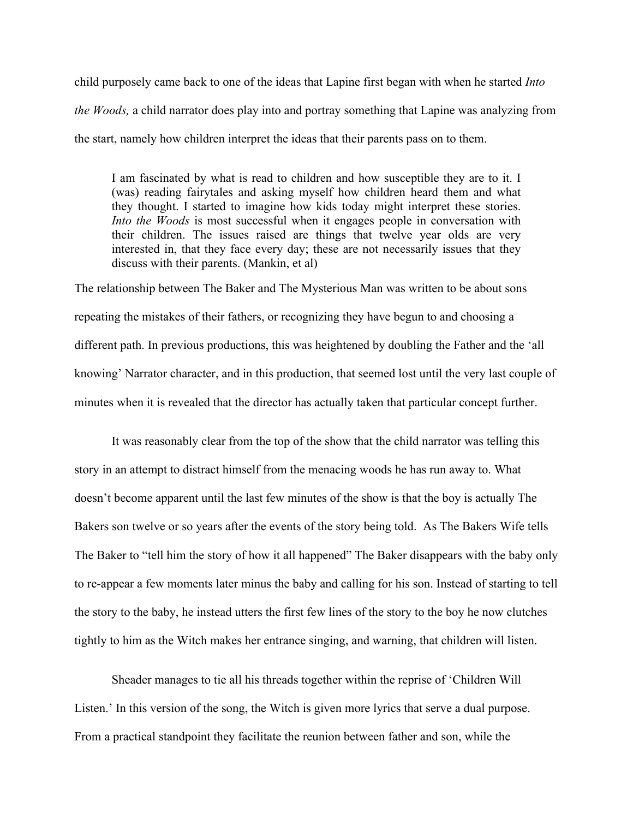child purposely came back to one of the ideas that Lapine first began with when he started *Into the Woods,* a child narrator does play into and portray something that Lapine was analyzing from the start, namely how children interpret the ideas that their parents pass on to them.

I am fascinated by what is read to children and how susceptible they are to it. I (was) reading fairytales and asking myself how children heard them and what they thought. I started to imagine how kids today might interpret these stories. *Into the Woods* is most successful when it engages people in conversation with their children. The issues raised are things that twelve year olds are very interested in, that they face every day; these are not necessarily issues that they discuss with their parents. (Mankin, et al)

The relationship between The Baker and The Mysterious Man was written to be about sons repeating the mistakes of their fathers, or recognizing they have begun to and choosing a different path. In previous productions, this was heightened by doubling the Father and the 'all knowing' Narrator character, and in this production, that seemed lost until the very last couple of minutes when it is revealed that the director has actually taken that particular concept further.

It was reasonably clear from the top of the show that the child narrator was telling this story in an attempt to distract himself from the menacing woods he has run away to. What doesn't become apparent until the last few minutes of the show is that the boy is actually The Bakers son twelve or so years after the events of the story being told. As The Bakers Wife tells The Baker to "tell him the story of how it all happened" The Baker disappears with the baby only to re-appear a few moments later minus the baby and calling for his son. Instead of starting to tell the story to the baby, he instead utters the first few lines of the story to the boy he now clutches tightly to him as the Witch makes her entrance singing, and warning, that children will listen.

Sheader manages to tie all his threads together within the reprise of 'Children Will Listen.' In this version of the song, the Witch is given more lyrics that serve a dual purpose. From a practical standpoint they facilitate the reunion between father and son, while the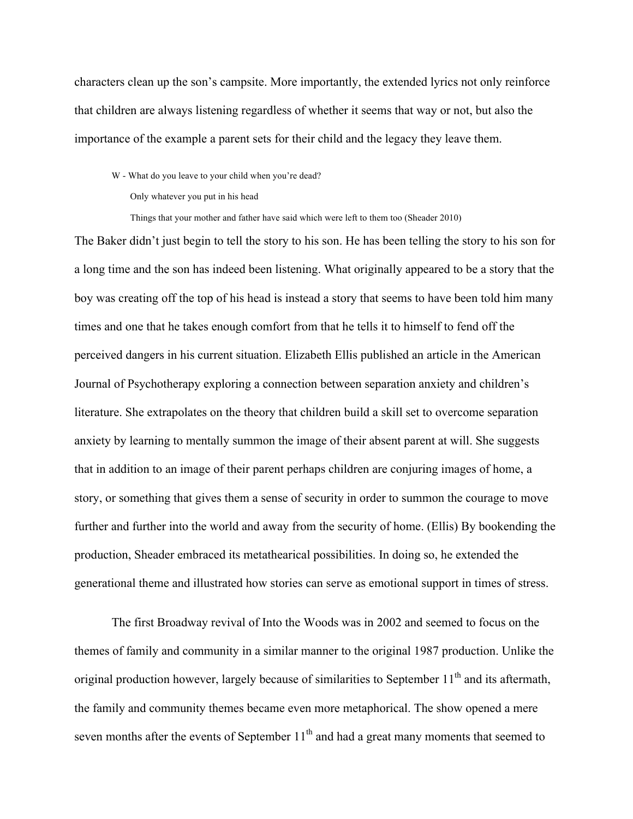characters clean up the son's campsite. More importantly, the extended lyrics not only reinforce that children are always listening regardless of whether it seems that way or not, but also the importance of the example a parent sets for their child and the legacy they leave them.

W - What do you leave to your child when you're dead?

Only whatever you put in his head

Things that your mother and father have said which were left to them too (Sheader 2010)

The Baker didn't just begin to tell the story to his son. He has been telling the story to his son for a long time and the son has indeed been listening. What originally appeared to be a story that the boy was creating off the top of his head is instead a story that seems to have been told him many times and one that he takes enough comfort from that he tells it to himself to fend off the perceived dangers in his current situation. Elizabeth Ellis published an article in the American Journal of Psychotherapy exploring a connection between separation anxiety and children's literature. She extrapolates on the theory that children build a skill set to overcome separation anxiety by learning to mentally summon the image of their absent parent at will. She suggests that in addition to an image of their parent perhaps children are conjuring images of home, a story, or something that gives them a sense of security in order to summon the courage to move further and further into the world and away from the security of home. (Ellis) By bookending the production, Sheader embraced its metathearical possibilities. In doing so, he extended the generational theme and illustrated how stories can serve as emotional support in times of stress.

The first Broadway revival of Into the Woods was in 2002 and seemed to focus on the themes of family and community in a similar manner to the original 1987 production. Unlike the original production however, largely because of similarities to September  $11<sup>th</sup>$  and its aftermath, the family and community themes became even more metaphorical. The show opened a mere seven months after the events of September  $11<sup>th</sup>$  and had a great many moments that seemed to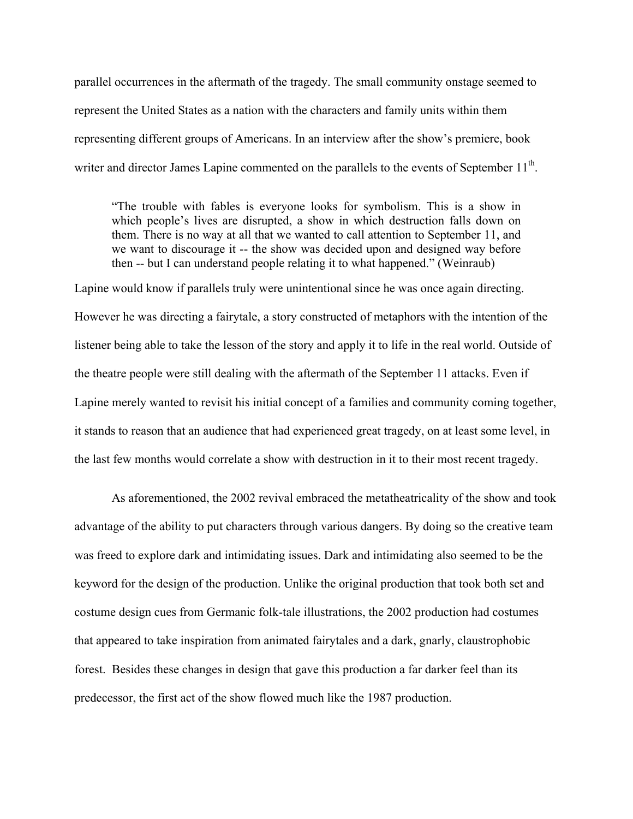parallel occurrences in the aftermath of the tragedy. The small community onstage seemed to represent the United States as a nation with the characters and family units within them representing different groups of Americans. In an interview after the show's premiere, book writer and director James Lapine commented on the parallels to the events of September 11<sup>th</sup>.

"The trouble with fables is everyone looks for symbolism. This is a show in which people's lives are disrupted, a show in which destruction falls down on them. There is no way at all that we wanted to call attention to September 11, and we want to discourage it -- the show was decided upon and designed way before then -- but I can understand people relating it to what happened." (Weinraub)

Lapine would know if parallels truly were unintentional since he was once again directing. However he was directing a fairytale, a story constructed of metaphors with the intention of the listener being able to take the lesson of the story and apply it to life in the real world. Outside of the theatre people were still dealing with the aftermath of the September 11 attacks. Even if Lapine merely wanted to revisit his initial concept of a families and community coming together, it stands to reason that an audience that had experienced great tragedy, on at least some level, in the last few months would correlate a show with destruction in it to their most recent tragedy.

As aforementioned, the 2002 revival embraced the metatheatricality of the show and took advantage of the ability to put characters through various dangers. By doing so the creative team was freed to explore dark and intimidating issues. Dark and intimidating also seemed to be the keyword for the design of the production. Unlike the original production that took both set and costume design cues from Germanic folk-tale illustrations, the 2002 production had costumes that appeared to take inspiration from animated fairytales and a dark, gnarly, claustrophobic forest. Besides these changes in design that gave this production a far darker feel than its predecessor, the first act of the show flowed much like the 1987 production.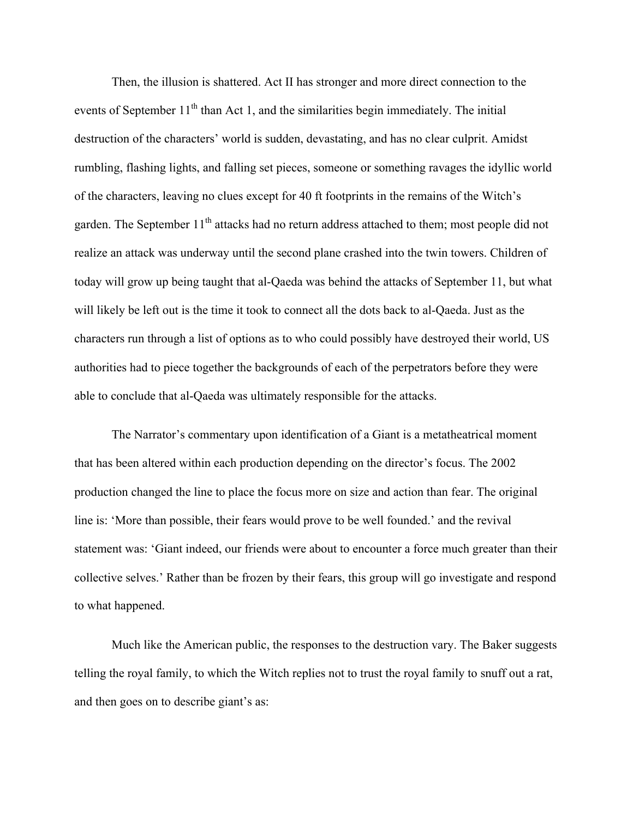Then, the illusion is shattered. Act II has stronger and more direct connection to the events of September  $11<sup>th</sup>$  than Act 1, and the similarities begin immediately. The initial destruction of the characters' world is sudden, devastating, and has no clear culprit. Amidst rumbling, flashing lights, and falling set pieces, someone or something ravages the idyllic world of the characters, leaving no clues except for 40 ft footprints in the remains of the Witch's garden. The September  $11<sup>th</sup>$  attacks had no return address attached to them; most people did not realize an attack was underway until the second plane crashed into the twin towers. Children of today will grow up being taught that al-Qaeda was behind the attacks of September 11, but what will likely be left out is the time it took to connect all the dots back to al-Qaeda. Just as the characters run through a list of options as to who could possibly have destroyed their world, US authorities had to piece together the backgrounds of each of the perpetrators before they were able to conclude that al-Qaeda was ultimately responsible for the attacks.

The Narrator's commentary upon identification of a Giant is a metatheatrical moment that has been altered within each production depending on the director's focus. The 2002 production changed the line to place the focus more on size and action than fear. The original line is: 'More than possible, their fears would prove to be well founded.' and the revival statement was: 'Giant indeed, our friends were about to encounter a force much greater than their collective selves.' Rather than be frozen by their fears, this group will go investigate and respond to what happened.

Much like the American public, the responses to the destruction vary. The Baker suggests telling the royal family, to which the Witch replies not to trust the royal family to snuff out a rat, and then goes on to describe giant's as: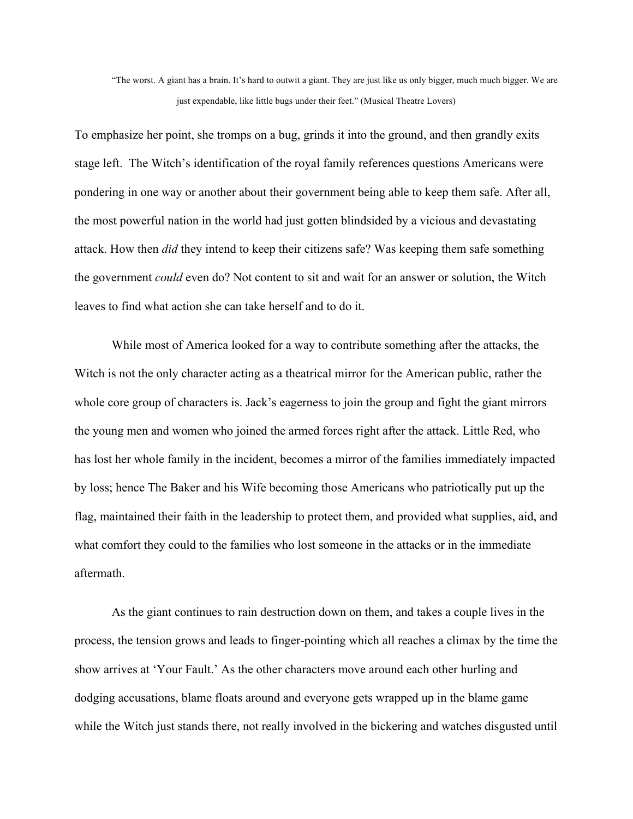"The worst. A giant has a brain. It's hard to outwit a giant. They are just like us only bigger, much much bigger. We are just expendable, like little bugs under their feet." (Musical Theatre Lovers)

To emphasize her point, she tromps on a bug, grinds it into the ground, and then grandly exits stage left. The Witch's identification of the royal family references questions Americans were pondering in one way or another about their government being able to keep them safe. After all, the most powerful nation in the world had just gotten blindsided by a vicious and devastating attack. How then *did* they intend to keep their citizens safe? Was keeping them safe something the government *could* even do? Not content to sit and wait for an answer or solution, the Witch leaves to find what action she can take herself and to do it.

While most of America looked for a way to contribute something after the attacks, the Witch is not the only character acting as a theatrical mirror for the American public, rather the whole core group of characters is. Jack's eagerness to join the group and fight the giant mirrors the young men and women who joined the armed forces right after the attack. Little Red, who has lost her whole family in the incident, becomes a mirror of the families immediately impacted by loss; hence The Baker and his Wife becoming those Americans who patriotically put up the flag, maintained their faith in the leadership to protect them, and provided what supplies, aid, and what comfort they could to the families who lost someone in the attacks or in the immediate aftermath.

As the giant continues to rain destruction down on them, and takes a couple lives in the process, the tension grows and leads to finger-pointing which all reaches a climax by the time the show arrives at 'Your Fault.' As the other characters move around each other hurling and dodging accusations, blame floats around and everyone gets wrapped up in the blame game while the Witch just stands there, not really involved in the bickering and watches disgusted until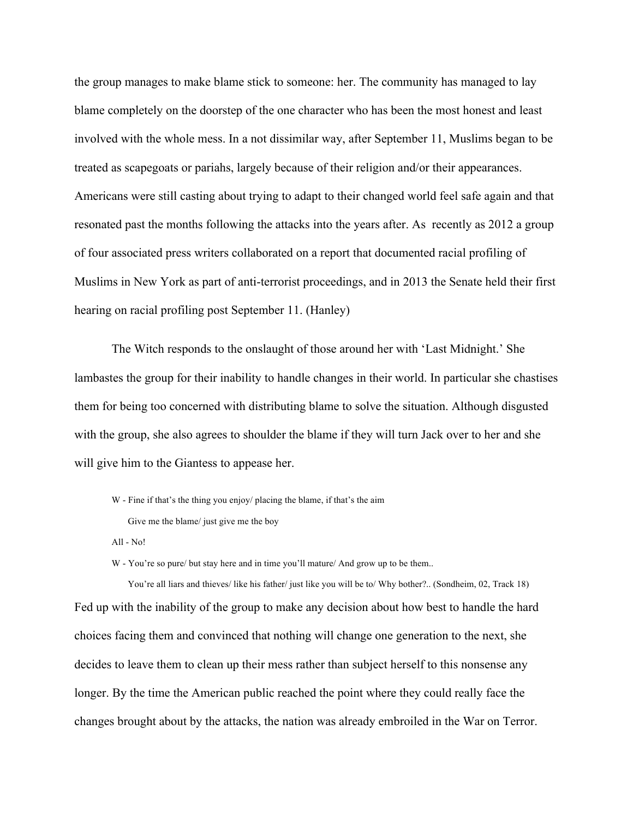the group manages to make blame stick to someone: her. The community has managed to lay blame completely on the doorstep of the one character who has been the most honest and least involved with the whole mess. In a not dissimilar way, after September 11, Muslims began to be treated as scapegoats or pariahs, largely because of their religion and/or their appearances. Americans were still casting about trying to adapt to their changed world feel safe again and that resonated past the months following the attacks into the years after. As recently as 2012 a group of four associated press writers collaborated on a report that documented racial profiling of Muslims in New York as part of anti-terrorist proceedings, and in 2013 the Senate held their first hearing on racial profiling post September 11. (Hanley)

The Witch responds to the onslaught of those around her with 'Last Midnight.' She lambastes the group for their inability to handle changes in their world. In particular she chastises them for being too concerned with distributing blame to solve the situation. Although disgusted with the group, she also agrees to shoulder the blame if they will turn Jack over to her and she will give him to the Giantess to appease her.

- W Fine if that's the thing you enjoy/ placing the blame, if that's the aim
	- Give me the blame/ just give me the boy
- All No!
- W You're so pure/ but stay here and in time you'll mature/ And grow up to be them..

You're all liars and thieves/ like his father/ just like you will be to/ Why bother?.. (Sondheim, 02, Track 18) Fed up with the inability of the group to make any decision about how best to handle the hard choices facing them and convinced that nothing will change one generation to the next, she decides to leave them to clean up their mess rather than subject herself to this nonsense any longer. By the time the American public reached the point where they could really face the changes brought about by the attacks, the nation was already embroiled in the War on Terror.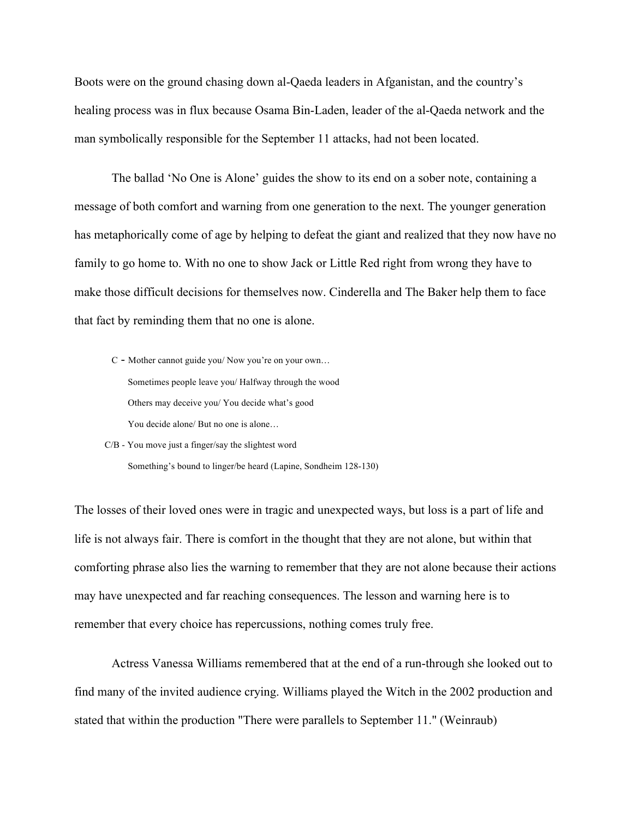Boots were on the ground chasing down al-Qaeda leaders in Afganistan, and the country's healing process was in flux because Osama Bin-Laden, leader of the al-Qaeda network and the man symbolically responsible for the September 11 attacks, had not been located.

The ballad 'No One is Alone' guides the show to its end on a sober note, containing a message of both comfort and warning from one generation to the next. The younger generation has metaphorically come of age by helping to defeat the giant and realized that they now have no family to go home to. With no one to show Jack or Little Red right from wrong they have to make those difficult decisions for themselves now. Cinderella and The Baker help them to face that fact by reminding them that no one is alone.

- C Mother cannot guide you/ Now you're on your own… Sometimes people leave you/ Halfway through the wood Others may deceive you/ You decide what's good You decide alone/ But no one is alone…
- C/B You move just a finger/say the slightest word Something's bound to linger/be heard (Lapine, Sondheim 128-130)

The losses of their loved ones were in tragic and unexpected ways, but loss is a part of life and life is not always fair. There is comfort in the thought that they are not alone, but within that comforting phrase also lies the warning to remember that they are not alone because their actions may have unexpected and far reaching consequences. The lesson and warning here is to remember that every choice has repercussions, nothing comes truly free.

Actress Vanessa Williams remembered that at the end of a run-through she looked out to find many of the invited audience crying. Williams played the Witch in the 2002 production and stated that within the production "There were parallels to September 11." (Weinraub)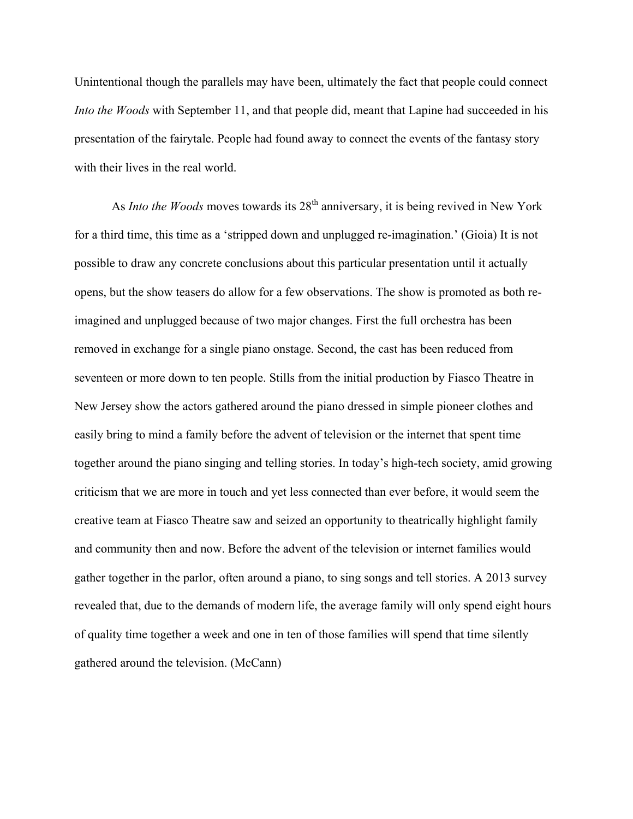Unintentional though the parallels may have been, ultimately the fact that people could connect *Into the Woods* with September 11, and that people did, meant that Lapine had succeeded in his presentation of the fairytale. People had found away to connect the events of the fantasy story with their lives in the real world.

As *Into the Woods* moves towards its 28<sup>th</sup> anniversary, it is being revived in New York for a third time, this time as a 'stripped down and unplugged re-imagination.' (Gioia) It is not possible to draw any concrete conclusions about this particular presentation until it actually opens, but the show teasers do allow for a few observations. The show is promoted as both reimagined and unplugged because of two major changes. First the full orchestra has been removed in exchange for a single piano onstage. Second, the cast has been reduced from seventeen or more down to ten people. Stills from the initial production by Fiasco Theatre in New Jersey show the actors gathered around the piano dressed in simple pioneer clothes and easily bring to mind a family before the advent of television or the internet that spent time together around the piano singing and telling stories. In today's high-tech society, amid growing criticism that we are more in touch and yet less connected than ever before, it would seem the creative team at Fiasco Theatre saw and seized an opportunity to theatrically highlight family and community then and now. Before the advent of the television or internet families would gather together in the parlor, often around a piano, to sing songs and tell stories. A 2013 survey revealed that, due to the demands of modern life, the average family will only spend eight hours of quality time together a week and one in ten of those families will spend that time silently gathered around the television. (McCann)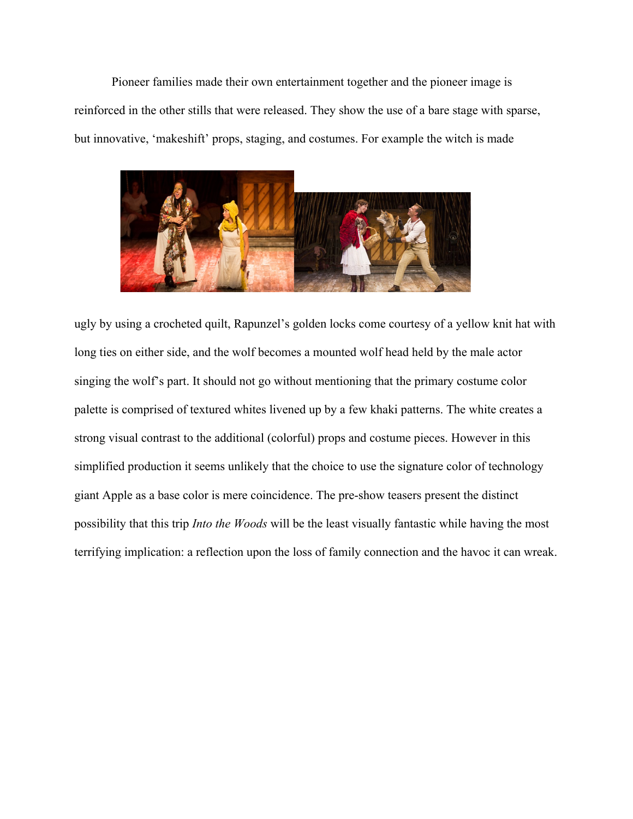Pioneer families made their own entertainment together and the pioneer image is reinforced in the other stills that were released. They show the use of a bare stage with sparse, but innovative, 'makeshift' props, staging, and costumes. For example the witch is made



ugly by using a crocheted quilt, Rapunzel's golden locks come courtesy of a yellow knit hat with long ties on either side, and the wolf becomes a mounted wolf head held by the male actor singing the wolf's part. It should not go without mentioning that the primary costume color palette is comprised of textured whites livened up by a few khaki patterns. The white creates a strong visual contrast to the additional (colorful) props and costume pieces. However in this simplified production it seems unlikely that the choice to use the signature color of technology giant Apple as a base color is mere coincidence. The pre-show teasers present the distinct possibility that this trip *Into the Woods* will be the least visually fantastic while having the most terrifying implication: a reflection upon the loss of family connection and the havoc it can wreak.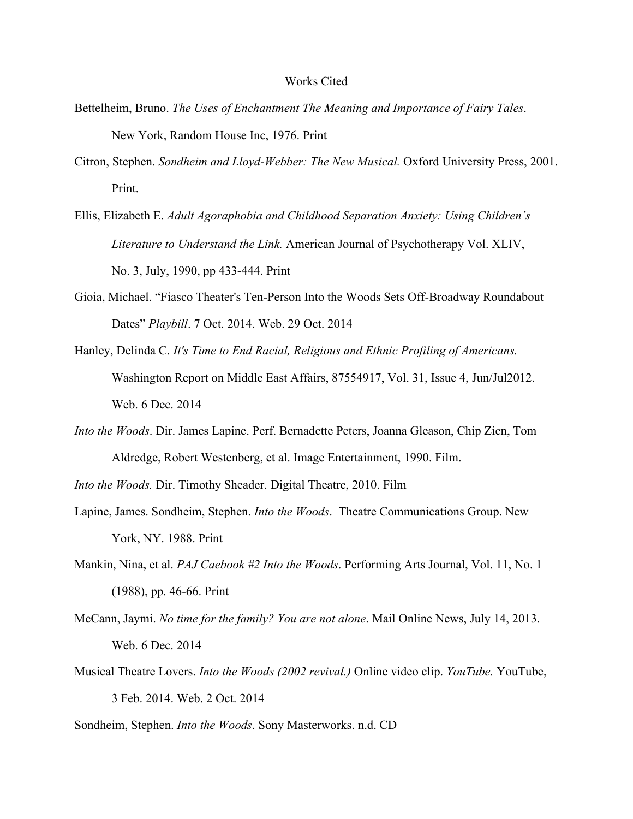## Works Cited

- Bettelheim, Bruno. *The Uses of Enchantment The Meaning and Importance of Fairy Tales*. New York, Random House Inc, 1976. Print
- Citron, Stephen. *Sondheim and Lloyd-Webber: The New Musical.* Oxford University Press, 2001. Print.
- Ellis, Elizabeth E. *Adult Agoraphobia and Childhood Separation Anxiety: Using Children's Literature to Understand the Link.* American Journal of Psychotherapy Vol. XLIV, No. 3, July, 1990, pp 433-444. Print
- Gioia, Michael. "Fiasco Theater's Ten-Person Into the Woods Sets Off-Broadway Roundabout Dates" *Playbill*. 7 Oct. 2014. Web. 29 Oct. 2014
- Hanley, Delinda C. *It's Time to End Racial, Religious and Ethnic Profiling of Americans.* Washington Report on Middle East Affairs, 87554917, Vol. 31, Issue 4, Jun/Jul2012. Web. 6 Dec. 2014
- *Into the Woods*. Dir. James Lapine. Perf. Bernadette Peters, Joanna Gleason, Chip Zien, Tom Aldredge, Robert Westenberg, et al. Image Entertainment, 1990. Film.

*Into the Woods.* Dir. Timothy Sheader. Digital Theatre, 2010. Film

- Lapine, James. Sondheim, Stephen. *Into the Woods*. Theatre Communications Group. New York, NY. 1988. Print
- Mankin, Nina, et al. *PAJ Caebook #2 Into the Woods*. Performing Arts Journal, Vol. 11, No. 1 (1988), pp. 46-66. Print
- McCann, Jaymi. *No time for the family? You are not alone*. Mail Online News, July 14, 2013. Web. 6 Dec. 2014
- Musical Theatre Lovers. *Into the Woods (2002 revival.)* Online video clip. *YouTube.* YouTube, 3 Feb. 2014. Web. 2 Oct. 2014

Sondheim, Stephen. *Into the Woods*. Sony Masterworks. n.d. CD